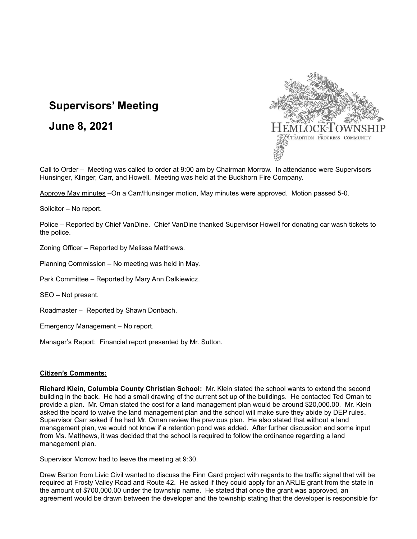# **Supervisors' Meeting**

**June 8, 2021**



Call to Order – Meeting was called to order at 9:00 am by Chairman Morrow. In attendance were Supervisors Hunsinger, Klinger, Carr, and Howell. Meeting was held at the Buckhorn Fire Company.

Approve May minutes –On a Carr/Hunsinger motion, May minutes were approved. Motion passed 5-0.

Solicitor – No report.

Police – Reported by Chief VanDine. Chief VanDine thanked Supervisor Howell for donating car wash tickets to the police.

Zoning Officer – Reported by Melissa Matthews.

Planning Commission – No meeting was held in May.

Park Committee – Reported by Mary Ann Dalkiewicz.

SEO – Not present.

Roadmaster – Reported by Shawn Donbach.

Emergency Management – No report.

Manager's Report: Financial report presented by Mr. Sutton.

#### **Citizen's Comments:**

**Richard Klein, Columbia County Christian School:** Mr. Klein stated the school wants to extend the second building in the back. He had a small drawing of the current set up of the buildings. He contacted Ted Oman to provide a plan. Mr. Oman stated the cost for a land management plan would be around \$20,000.00. Mr. Klein asked the board to waive the land management plan and the school will make sure they abide by DEP rules. Supervisor Carr asked if he had Mr. Oman review the previous plan. He also stated that without a land management plan, we would not know if a retention pond was added. After further discussion and some input from Ms. Matthews, it was decided that the school is required to follow the ordinance regarding a land management plan.

Supervisor Morrow had to leave the meeting at 9:30.

Drew Barton from Livic Civil wanted to discuss the Finn Gard project with regards to the traffic signal that will be required at Frosty Valley Road and Route 42. He asked if they could apply for an ARLIE grant from the state in the amount of \$700,000.00 under the township name. He stated that once the grant was approved, an agreement would be drawn between the developer and the township stating that the developer is responsible for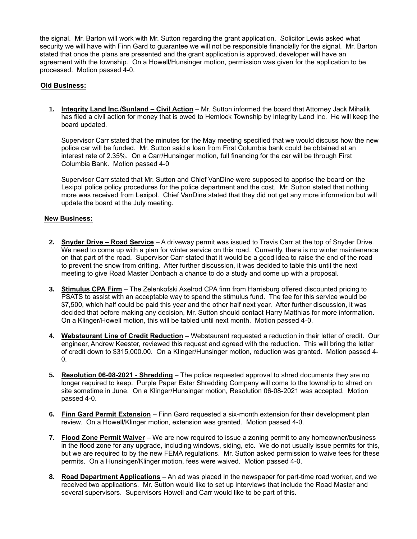the signal. Mr. Barton will work with Mr. Sutton regarding the grant application. Solicitor Lewis asked what security we will have with Finn Gard to guarantee we will not be responsible financially for the signal. Mr. Barton stated that once the plans are presented and the grant application is approved, developer will have an agreement with the township. On a Howell/Hunsinger motion, permission was given for the application to be processed. Motion passed 4-0.

# **Old Business:**

**1. Integrity Land Inc./Sunland – Civil Action** – Mr. Sutton informed the board that Attorney Jack Mihalik has filed a civil action for money that is owed to Hemlock Township by Integrity Land Inc. He will keep the board updated.

Supervisor Carr stated that the minutes for the May meeting specified that we would discuss how the new police car will be funded. Mr. Sutton said a loan from First Columbia bank could be obtained at an interest rate of 2.35%. On a Carr/Hunsinger motion, full financing for the car will be through First Columbia Bank. Motion passed 4-0

Supervisor Carr stated that Mr. Sutton and Chief VanDine were supposed to apprise the board on the Lexipol police policy procedures for the police department and the cost. Mr. Sutton stated that nothing more was received from Lexipol. Chief VanDine stated that they did not get any more information but will update the board at the July meeting.

## **New Business:**

- **2. Snyder Drive – Road Service** A driveway permit was issued to Travis Carr at the top of Snyder Drive. We need to come up with a plan for winter service on this road. Currently, there is no winter maintenance on that part of the road. Supervisor Carr stated that it would be a good idea to raise the end of the road to prevent the snow from drifting. After further discussion, it was decided to table this until the next meeting to give Road Master Donbach a chance to do a study and come up with a proposal.
- **3. Stimulus CPA Firm** The Zelenkofski Axelrod CPA firm from Harrisburg offered discounted pricing to PSATS to assist with an acceptable way to spend the stimulus fund. The fee for this service would be \$7,500, which half could be paid this year and the other half next year. After further discussion, it was decided that before making any decision, Mr. Sutton should contact Harry Matthias for more information. On a Klinger/Howell motion, this will be tabled until next month. Motion passed 4-0.
- **4. Webstaurant Line of Credit Reduction** Webstaurant requested a reduction in their letter of credit. Our engineer, Andrew Keester, reviewed this request and agreed with the reduction. This will bring the letter of credit down to \$315,000.00. On a Klinger/Hunsinger motion, reduction was granted. Motion passed 4- 0.
- **5. Resolution 06-08-2021 - Shredding** The police requested approval to shred documents they are no longer required to keep. Purple Paper Eater Shredding Company will come to the township to shred on site sometime in June. On a Klinger/Hunsinger motion, Resolution 06-08-2021 was accepted. Motion passed 4-0.
- **6. Finn Gard Permit Extension** Finn Gard requested a six-month extension for their development plan review. On a Howell/Klinger motion, extension was granted. Motion passed 4-0.
- **7. Flood Zone Permit Waiver** We are now required to issue a zoning permit to any homeowner/business in the flood zone for any upgrade, including windows, siding, etc. We do not usually issue permits for this, but we are required to by the new FEMA regulations. Mr. Sutton asked permission to waive fees for these permits. On a Hunsinger/Klinger motion, fees were waived. Motion passed 4-0.
- **8. Road Department Applications** An ad was placed in the newspaper for part-time road worker, and we received two applications. Mr. Sutton would like to set up interviews that include the Road Master and several supervisors. Supervisors Howell and Carr would like to be part of this.